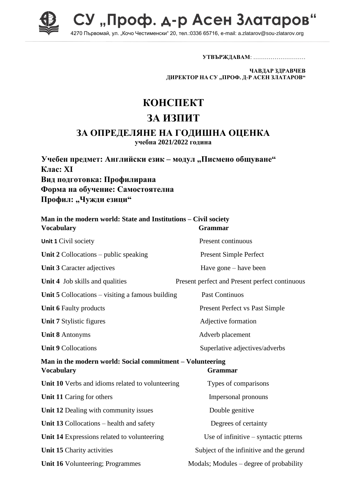

СУ "Проф. д-р Асен Златаров 4270 Първомай, ул. "Кочо Честименски" 20, тел.:0336 65716, e-mail: a.zlatarov@sou-zlatarov.org

**УТВЪРЖДАВАМ**: ………………………

**ЧАВДАР ЗДРАВЧЕВ ДИРЕКТОР НА СУ "ПРОФ. Д-Р АСЕН ЗЛАТАРОВ"**

## **КОНСПЕКТ**

## **ЗА ИЗПИТ**

## **ЗА ОПРЕДЕЛЯНЕ НА ГОДИШНА ОЦЕНКА**

**учебна 2021/2022 година**

**Учебен предмет: Английски език – модул "Писмено общуване" Клас: XI Вид подготовка: Профилирана Форма на обучение: Самостоятелна** Профил: "Чужди езици"

| Man in the modern world: State and Institutions - Civil society<br><b>Vocabulary</b> | <b>Grammar</b>                                 |
|--------------------------------------------------------------------------------------|------------------------------------------------|
| Unit 1 Civil society                                                                 | Present continuous                             |
| Unit $2$ Collocations – public speaking                                              | <b>Present Simple Perfect</b>                  |
| Unit 3 Caracter adjectives                                                           | Have gone – have been                          |
| Unit 4 Job skills and qualities                                                      | Present perfect and Present perfect continuous |
| Unit $5$ Collocations – visiting a famous building                                   | <b>Past Continuos</b>                          |
| <b>Unit 6 Faulty products</b>                                                        | <b>Present Perfect vs Past Simple</b>          |
| Unit 7 Stylistic figures                                                             | Adjective formation                            |
| <b>Unit 8 Antonyms</b>                                                               | Adverb placement                               |
| <b>Unit 9 Collocations</b>                                                           | Superlative adjectives/adverbs                 |
| Man in the modern world: Social commitment - Volunteering<br><b>Vocabulary</b>       | Grammar                                        |
| Unit 10 Verbs and idioms related to volunteering                                     | Types of comparisons                           |
| Unit 11 Caring for others                                                            | Impersonal pronouns                            |
| Unit 12 Dealing with community issues                                                | Double genitive                                |
| Unit 13 Collocations – health and safety                                             | Degrees of certainty                           |
| Unit 14 Expressions related to volunteering                                          | Use of infinitive $-$ syntactic ptterns        |
| Unit 15 Charity activities                                                           | Subject of the infinitive and the gerund       |
| Unit 16 Volunteering; Programmes                                                     | Modals; Modules – degree of probability        |